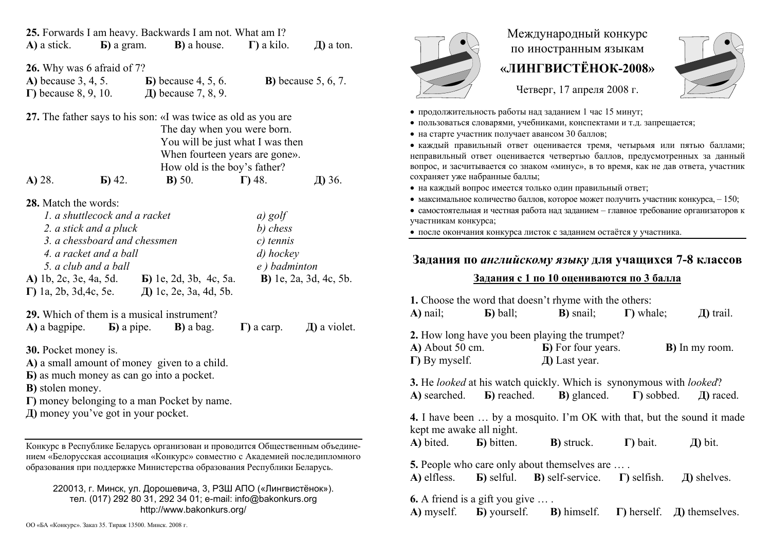| A) a stick.                                                                                                                                                                                                                                                | $\bf{E}$ ) a gram.                                                             | 25. Forwards I am heavy. Backwards I am not. What am I?<br><b>B</b> ) a house. $\Gamma$ ) a kilo.                                                                                                                                        |                                                                                     | $\overline{A}$ ) a ton.                  |
|------------------------------------------------------------------------------------------------------------------------------------------------------------------------------------------------------------------------------------------------------------|--------------------------------------------------------------------------------|------------------------------------------------------------------------------------------------------------------------------------------------------------------------------------------------------------------------------------------|-------------------------------------------------------------------------------------|------------------------------------------|
| <b>26.</b> Why was 6 afraid of 7?<br>$\Gamma$ ) because 8, 9, 10.                                                                                                                                                                                          |                                                                                | <b>A)</b> because 3, 4, 5. <b>b</b> ) because 4, 5, 6.<br>Д) because 7, 8, 9.                                                                                                                                                            |                                                                                     | <b>B</b> ) because $5, 6, 7$ .           |
| 27. The father says to his son: «I was twice as old as you are<br>The day when you were born.<br>You will be just what I was then<br>When fourteen years are gone».<br>How old is the boy's father?                                                        |                                                                                |                                                                                                                                                                                                                                          |                                                                                     |                                          |
| A) 28.<br><b>28.</b> Match the words:<br>2. a stick and a pluck<br>4. a racket and a ball<br>5. a club and a ball                                                                                                                                          | $\bf{E})$ 42.<br>1. a shuttlecock and a racket<br>3. a chessboard and chessmen | B) 50.<br>A) 1b, 2c, 3e, 4a, 5d. <b>b</b> ) 1e, 2d, 3b, 4c, 5a.<br>$\Gamma$ ) 1a, 2b, 3d, 4c, 5e. $\Box$ 1c, 2e, 3a, 4d, 5b.                                                                                                             | $\Gamma$ ) 48.<br>$a)$ golf<br>b) chess<br>$c)$ tennis<br>d) hockey<br>e) badminton | Д) 36.<br><b>B</b> ) 1e, 2a, 3d, 4c, 5b. |
|                                                                                                                                                                                                                                                            |                                                                                | 29. Which of them is a musical instrument?<br>$\bf{A}$ ) a bagpipe. $\bf{B}$ ) a pipe. $\bf{B}$ ) a bag.                                                                                                                                 | $\Gamma$ ) a carp.                                                                  | $\pi$ ) a violet.                        |
| <b>30.</b> Pocket money is.<br>A) a small amount of money given to a child.<br><b>b</b> ) as much money as can go into a pocket.<br><b>B</b> ) stolen money.<br>$\Gamma$ ) money belonging to a man Pocket by name.<br>Д) money you've got in your pocket. |                                                                                |                                                                                                                                                                                                                                          |                                                                                     |                                          |
|                                                                                                                                                                                                                                                            |                                                                                | Конкурс в Республике Беларусь организован и проводится Общественным объедине-<br>нием «Белорусская ассоциация «Конкурс» совместно с Академией последипломного<br>образования при поддержке Министерства образования Республики Беларусь. |                                                                                     |                                          |
|                                                                                                                                                                                                                                                            |                                                                                | 220013, г. Минск, ул. Дорошевича, 3, РЗШ АПО («Лингвистёнок»).<br>тел. (017) 292 80 31, 292 34 01; e-mail: info@bakonkurs.org<br>http://www.bakonkurs.org/                                                                               |                                                                                     |                                          |



## Международный конкурс по иностранным языкам **«ЛИНГВИСТЁНОК-2008»**



- Четверг, 17 апреля 2008 г.
- продолжительность работы над заданием 1 час 15 минут;
- пользоваться словарями, учебниками, конспектами и <sup>т</sup>.д. запрещается;
- на старте участник получает авансом 30 баллов;

 каждый правильный ответ оценивается тремя, четырьмя или пятью баллами; неправильный ответ оценивается четвертью баллов, предусмотренных за данный вопрос, <sup>и</sup> засчитывается со знаком «минус», <sup>в</sup> то время, как не дав ответа, участник сохраняет уже набранные баллы;

- на каждый вопрос имеется только один правильный ответ;
- максимальное количество баллов, которое может получить участник конкурса,  $-150$ ;

• самостоятельная и честная работа над заданием - главное требование организаторов к участникам конкурса;

после окончания конкурса листок <sup>с</sup> заданием остаётся у участника.

## **Задания по** *английскому языку* **для учащихся 7-8 классов**

## **Задания <sup>с</sup> 1 по 10 оцениваются по 3 балла**

| 1. Choose the word that doesn't rhyme with the others:                                                                                                                        |  |                                                                                                                                                                         |  |                        |
|-------------------------------------------------------------------------------------------------------------------------------------------------------------------------------|--|-------------------------------------------------------------------------------------------------------------------------------------------------------------------------|--|------------------------|
|                                                                                                                                                                               |  | <b>A</b> ) nail; <b>b</b> ) ball; <b>B</b> ) snail; <b>F</b> ) whale;                                                                                                   |  | $\pi$ ) trail.         |
| 2. How long have you been playing the trumpet?<br>$A)$ About 50 cm.<br>$\Gamma$ ) By myself.                                                                                  |  | <b>b</b> ) For four years.<br>$\pi$ ) Last year.                                                                                                                        |  | <b>B</b> ) In my room. |
|                                                                                                                                                                               |  | 3. He looked at his watch quickly. Which is synonymous with looked?<br>A) searched. <b>b</b> ) reached. <b>b</b> ) glanced. <b>F</b> ) sobbed. $\Box$ and $\Box$ raced. |  |                        |
| <b>4.</b> I have been  by a mosquito. I'm OK with that, but the sound it made<br>kept me awake all night.                                                                     |  |                                                                                                                                                                         |  |                        |
|                                                                                                                                                                               |  | <b>A</b> ) bited. <b>b</b> ) bitten. <b>B</b> ) struck. $\Gamma$ ) bait.                                                                                                |  | $\pi$ ) bit.           |
| <b>5.</b> People who care only about themselves are<br><b>A)</b> elfless. <b>b)</b> selful. <b>B)</b> self-service. <b><math>\Gamma</math></b> ) selfish.<br>$\pi$ ) shelves. |  |                                                                                                                                                                         |  |                        |
| <b>6.</b> A friend is a gift you give $\dots$ .                                                                                                                               |  | A) myself. <b>b</b> ) yourself. <b>b</b> ) himself. $\Gamma$ ) herself. $\Box$ ) themselves.                                                                            |  |                        |